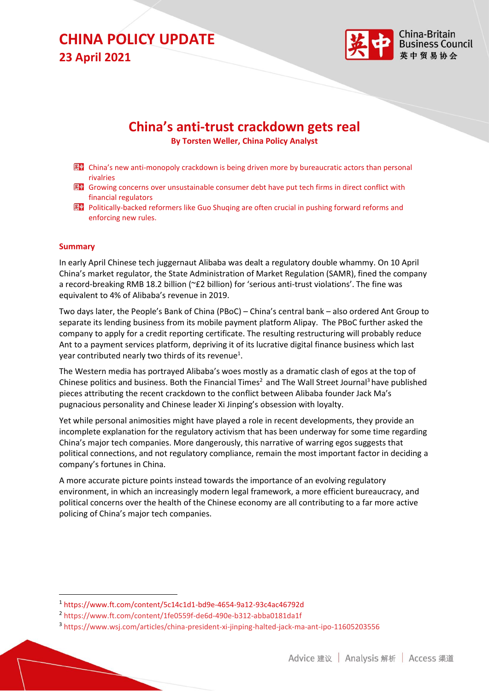

### **China's anti-trust crackdown gets real**

**By Torsten Weller, China Policy Analyst**

- EF China's new anti-monopoly crackdown is being driven more by bureaucratic actors than personal rivalries
- **KH** Growing concerns over unsustainable consumer debt have put tech firms in direct conflict with financial regulators
- 图 Politically-backed reformers like Guo Shuqing are often crucial in pushing forward reforms and enforcing new rules.

#### **Summary**

In early April Chinese tech juggernaut Alibaba was dealt a regulatory double whammy. On 10 April China's market regulator, the State Administration of Market Regulation (SAMR), fined the company a record-breaking RMB 18.2 billion (~£2 billion) for 'serious anti-trust violations'. The fine was equivalent to 4% of Alibaba's revenue in 2019.

Two days later, the People's Bank of China (PBoC) – China's central bank – also ordered Ant Group to separate its lending business from its mobile payment platform Alipay. The PBoC further asked the company to apply for a credit reporting certificate. The resulting restructuring will probably reduce Ant to a payment services platform, depriving it of its lucrative digital finance business which last year contributed nearly two thirds of its revenue<sup>1</sup>.

The Western media has portrayed Alibaba's woes mostly as a dramatic clash of egos at the top of Chinese politics and business. Both the Financial Times<sup>2</sup> and The Wall Street Journal<sup>3</sup> have published pieces attributing the recent crackdown to the conflict between Alibaba founder Jack Ma's pugnacious personality and Chinese leader Xi Jinping's obsession with loyalty.

Yet while personal animosities might have played a role in recent developments, they provide an incomplete explanation for the regulatory activism that has been underway for some time regarding China's major tech companies. More dangerously, this narrative of warring egos suggests that political connections, and not regulatory compliance, remain the most important factor in deciding a company's fortunes in China.

A more accurate picture points instead towards the importance of an evolving regulatory environment, in which an increasingly modern legal framework, a more efficient bureaucracy, and political concerns over the health of the Chinese economy are all contributing to a far more active policing of China's major tech companies.

<sup>1</sup> https://www.ft.com/content/5c14c1d1-bd9e-4654-9a12-93c4ac46792d

<sup>2</sup> https://www.ft.com/content/1fe0559f-de6d-490e-b312-abba0181da1f

<sup>3</sup> https://www.wsj.com/articles/china-president-xi-jinping-halted-jack-ma-ant-ipo-11605203556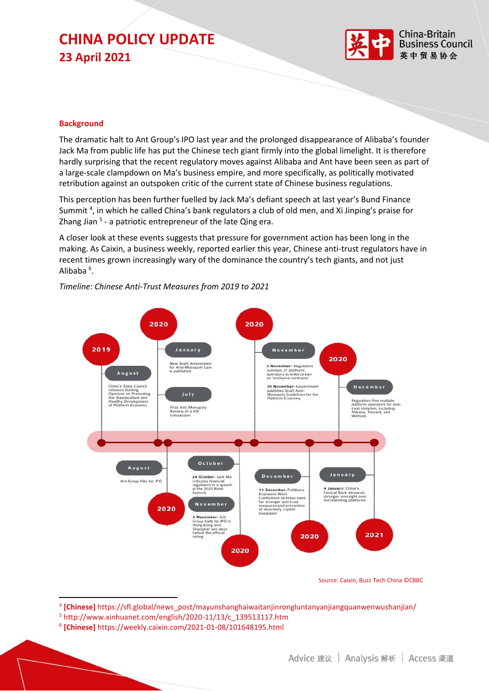

#### **Background**

The dramatic halt to Ant Group's IPO last year and the prolonged disappearance of Alibaba's founder Jack Ma from public life has put the Chinese tech giant firmly into the global limelight. It is therefore hardly surprising that the recent regulatory moves against Alibaba and Ant have been seen as part of a large-scale clampdown on Ma's business empire, and more specifically, as politically motivated retribution against an outspoken critic of the current state of Chinese business regulations.

This perception has been further fuelled by Jack Ma's defiant speech at last year's Bund Finance Summit<sup>4</sup>, in which he called China's bank regulators a club of old men, and Xi Jinping's praise for Zhang Jian <sup>5</sup> - a patriotic entrepreneur of the late Qing era.

A closer look at these events suggests that pressure for government action has been long in the making. As Caixin, a business weekly, reported earlier this year, Chinese anti-trust regulators have in recent times grown increasingly wary of the dominance the country's tech giants, and not just Alibaba<sup>6</sup>.



*Timeline: Chinese Anti-Trust Measures from 2019 to 2021*

Source: Caixin, Buzz Tech China ©CBBC

- <sup>5</sup> http://www.xinhuanet.com/english/2020-11/13/c\_139513117.htm
- 6 **[Chinese]** https://weekly.caixin.com/2021-01-08/101648195.html

<sup>4</sup> **[Chinese]** https://sfl.global/news\_post/mayunshanghaiwaitanjinrongluntanyanjiangquanwenwushanjian/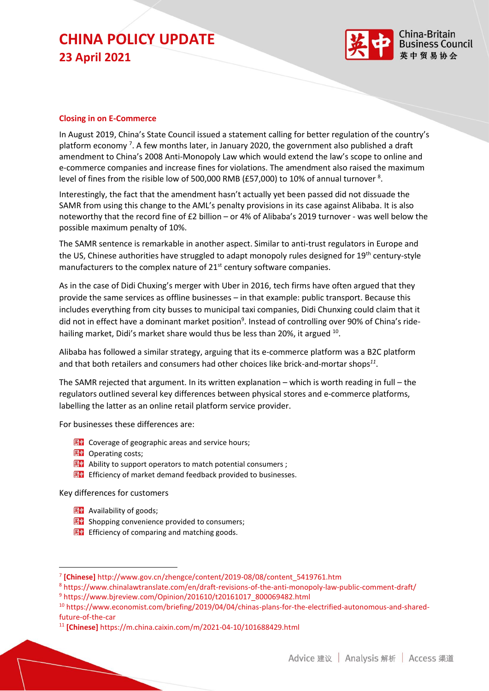

#### **Closing in on E-Commerce**

In August 2019, China's State Council issued a statement calling for better regulation of the country's platform economy<sup>7</sup>. A few months later, in January 2020, the government also published a draft amendment to China's 2008 Anti-Monopoly Law which would extend the law's scope to online and e-commerce companies and increase fines for violations. The amendment also raised the maximum level of fines from the risible low of 500,000 RMB (£57,000) to 10% of annual turnover <sup>8</sup>.

Interestingly, the fact that the amendment hasn't actually yet been passed did not dissuade the SAMR from using this change to the AML's penalty provisions in its case against Alibaba. It is also noteworthy that the record fine of £2 billion – or 4% of Alibaba's 2019 turnover - was well below the possible maximum penalty of 10%.

The SAMR sentence is remarkable in another aspect. Similar to anti-trust regulators in Europe and the US, Chinese authorities have struggled to adapt monopoly rules designed for 19<sup>th</sup> century-style manufacturers to the complex nature of  $21^{st}$  century software companies.

As in the case of Didi Chuxing's merger with Uber in 2016, tech firms have often argued that they provide the same services as offline businesses – in that example: public transport. Because this includes everything from city busses to municipal taxi companies, Didi Chunxing could claim that it did not in effect have a dominant market position<sup>9</sup>. Instead of controlling over 90% of China's ridehailing market, Didi's market share would thus be less than 20%, it argued <sup>10</sup>.

Alibaba has followed a similar strategy, arguing that its e-commerce platform was a B2C platform and that both retailers and consumers had other choices like brick-and-mortar shops*<sup>11</sup>* .

The SAMR rejected that argument. In its written explanation – which is worth reading in full – the regulators outlined several key differences between physical stores and e-commerce platforms, labelling the latter as an online retail platform service provider.

For businesses these differences are:

- **KEP** Coverage of geographic areas and service hours;
- 图 Operating costs;
- $\mathbb{R}$  **P** Ability to support operators to match potential consumers ;
- 图 Efficiency of market demand feedback provided to businesses.

Key differences for customers

- $\mathbb{R}^n$  Availability of goods;
- **KD** Shopping convenience provided to consumers;
- $E^*$  Efficiency of comparing and matching goods.

<sup>7</sup> **[Chinese]** http://www.gov.cn/zhengce/content/2019-08/08/content\_5419761.htm

<sup>8</sup> https://www.chinalawtranslate.com/en/draft-revisions-of-the-anti-monopoly-law-public-comment-draft/ <sup>9</sup> https://www.bjreview.com/Opinion/201610/t20161017\_800069482.html

<sup>10</sup> https://www.economist.com/briefing/2019/04/04/chinas-plans-for-the-electrified-autonomous-and-sharedfuture-of-the-car

<sup>11</sup> **[Chinese]** https://m.china.caixin.com/m/2021-04-10/101688429.html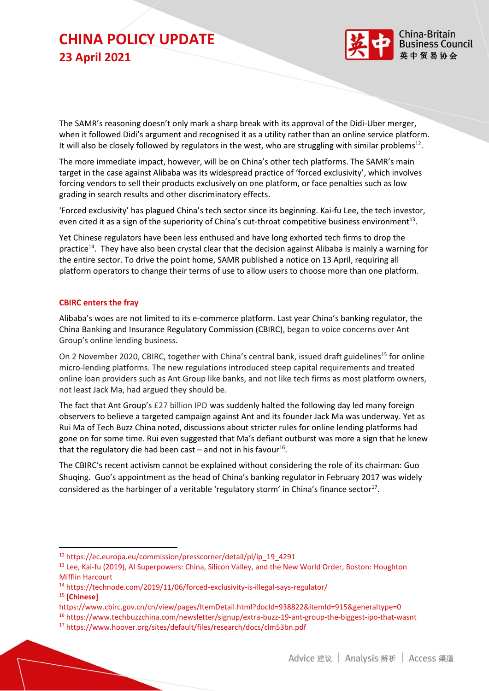

The SAMR's reasoning doesn't only mark a sharp break with its approval of the Didi-Uber merger, when it followed Didi's argument and recognised it as a utility rather than an online service platform. It will also be closely followed by regulators in the west, who are struggling with similar problems<sup>12</sup>.

The more immediate impact, however, will be on China's other tech platforms. The SAMR's main target in the case against Alibaba was its widespread practice of 'forced exclusivity', which involves forcing vendors to sell their products exclusively on one platform, or face penalties such as low grading in search results and other discriminatory effects.

'Forced exclusivity' has plagued China's tech sector since its beginning. Kai-fu Lee, the tech investor, even cited it as a sign of the superiority of China's cut-throat competitive business environment<sup>13</sup>.

Yet Chinese regulators have been less enthused and have long exhorted tech firms to drop the practice<sup>14</sup>. They have also been crystal clear that the decision against Alibaba is mainly a warning for the entire sector. To drive the point home, SAMR published a notice on 13 April, requiring all platform operators to change their terms of use to allow users to choose more than one platform.

#### **CBIRC enters the fray**

Alibaba's woes are not limited to its e-commerce platform. Last year China's banking regulator, the China Banking and Insurance Regulatory Commission (CBIRC), began to voice concerns over Ant Group's online lending business.

On 2 November 2020, CBIRC, together with China's central bank, issued draft guidelines<sup>15</sup> for online micro-lending platforms. The new regulations introduced steep capital requirements and treated online loan providers such as Ant Group like banks, and not like tech firms as most platform owners, not least Jack Ma, had argued they should be.

The fact that Ant Group's £27 billion IPO was suddenly halted the following day led many foreign observers to believe a targeted campaign against Ant and its founder Jack Ma was underway. Yet as Rui Ma of Tech Buzz China noted, discussions about stricter rules for online lending platforms had gone on for some time. Rui even suggested that Ma's defiant outburst was more a sign that he knew that the regulatory die had been cast  $-$  and not in his favour<sup>16</sup>.

The CBIRC's recent activism cannot be explained without considering the role of its chairman: Guo Shuqing. Guo's appointment as the head of China's banking regulator in February 2017 was widely considered as the harbinger of a veritable 'regulatory storm' in China's finance sector<sup>17</sup>.

<sup>14</sup> https://technode.com/2019/11/06/forced-exclusivity-is-illegal-says-regulator/

<sup>15</sup> **[Chinese]**

https://www.cbirc.gov.cn/cn/view/pages/ItemDetail.html?docId=938822&itemId=915&generaltype=0

<sup>16</sup> https://www.techbuzzchina.com/newsletter/signup/extra-buzz-19-ant-group-the-biggest-ipo-that-wasnt

<sup>12</sup> https://ec.europa.eu/commission/presscorner/detail/pl/ip\_19\_4291

<sup>&</sup>lt;sup>13</sup> Lee, Kai-fu (2019), AI Superpowers: China, Silicon Valley, and the New World Order, Boston: Houghton Mifflin Harcourt

<sup>17</sup> https://www.hoover.org/sites/default/files/research/docs/clm53bn.pdf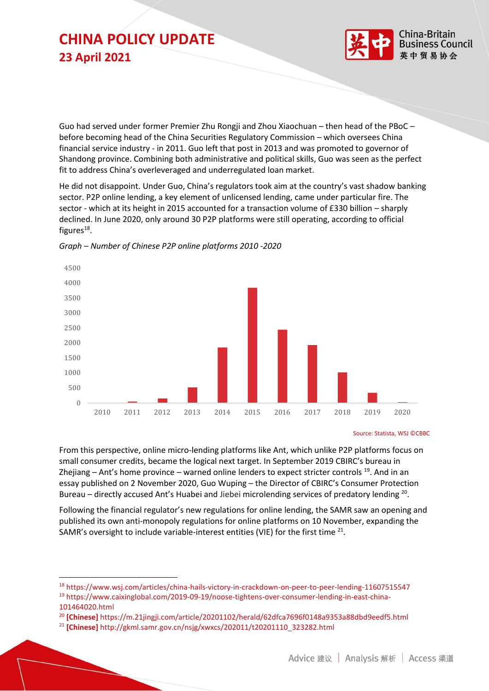

Guo had served under former Premier Zhu Rongji and Zhou Xiaochuan – then head of the PBoC – before becoming head of the China Securities Regulatory Commission – which oversees China financial service industry - in 2011. Guo left that post in 2013 and was promoted to governor of Shandong province. Combining both administrative and political skills, Guo was seen as the perfect fit to address China's overleveraged and underregulated loan market.

He did not disappoint. Under Guo, China's regulators took aim at the country's vast shadow banking sector. P2P online lending, a key element of unlicensed lending, came under particular fire. The sector - which at its height in 2015 accounted for a transaction volume of £330 billion – sharply declined. In June 2020, only around 30 P2P platforms were still operating, according to official figures $^{18}$ .



*Graph – Number of Chinese P2P online platforms 2010 -2020*

From this perspective, online micro-lending platforms like Ant, which unlike P2P platforms focus on small consumer credits, became the logical next target. In September 2019 CBIRC's bureau in Zhejiang – Ant's home province – warned online lenders to expect stricter controls  $^{19}$ . And in an essay published on 2 November 2020, Guo Wuping – the Director of CBIRC's Consumer Protection Bureau  $-$  directly accused Ant's Huabei and Jiebei microlending services of predatory lending  $20$ .

Following the financial regulator's new regulations for online lending, the SAMR saw an opening and published its own anti-monopoly regulations for online platforms on 10 November, expanding the SAMR's oversight to include variable-interest entities (VIE) for the first time  $21$ .

Source: Statista, WSJ ©CBBC

<sup>18</sup> https://www.wsj.com/articles/china-hails-victory-in-crackdown-on-peer-to-peer-lending-11607515547 <sup>19</sup> https://www.caixinglobal.com/2019-09-19/noose-tightens-over-consumer-lending-in-east-china-101464020.html

<sup>20</sup> **[Chinese]** https://m.21jingji.com/article/20201102/herald/62dfca7696f0148a9353a88dbd9eedf5.html

<sup>21</sup> **[Chinese]** http://gkml.samr.gov.cn/nsjg/xwxcs/202011/t20201110\_323282.html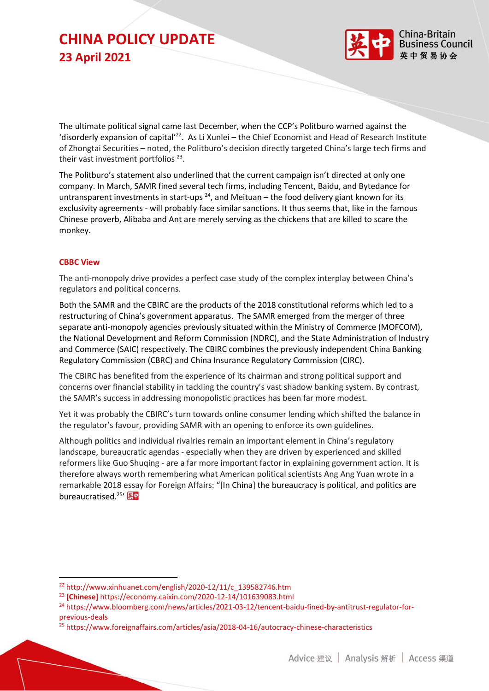

The ultimate political signal came last December, when the CCP's Politburo warned against the 'disorderly expansion of capital'<sup>22</sup>. As Li Xunlei – the Chief Economist and Head of Research Institute of Zhongtai Securities – noted, the Politburo's decision directly targeted China's large tech firms and their vast investment portfolios<sup>23</sup>.

The Politburo's statement also underlined that the current campaign isn't directed at only one company. In March, SAMR fined several tech firms, including Tencent, Baidu, and Bytedance for untransparent investments in start-ups  $^{24}$ , and Meituan – the food delivery giant known for its exclusivity agreements - will probably face similar sanctions. It thus seems that, like in the famous Chinese proverb, Alibaba and Ant are merely serving as the chickens that are killed to scare the monkey.

#### **CBBC View**

The anti-monopoly drive provides a perfect case study of the complex interplay between China's regulators and political concerns.

Both the SAMR and the CBIRC are the products of the 2018 constitutional reforms which led to a restructuring of China's government apparatus. The SAMR emerged from the merger of three separate anti-monopoly agencies previously situated within the Ministry of Commerce (MOFCOM), the National Development and Reform Commission (NDRC), and the State Administration of Industry and Commerce (SAIC) respectively. The CBIRC combines the previously independent China Banking Regulatory Commission (CBRC) and China Insurance Regulatory Commission (CIRC).

The CBIRC has benefited from the experience of its chairman and strong political support and concerns over financial stability in tackling the country's vast shadow banking system. By contrast, the SAMR's success in addressing monopolistic practices has been far more modest.

Yet it was probably the CBIRC's turn towards online consumer lending which shifted the balance in the regulator's favour, providing SAMR with an opening to enforce its own guidelines.

Although politics and individual rivalries remain an important element in China's regulatory landscape, bureaucratic agendas - especially when they are driven by experienced and skilled reformers like Guo Shuqing - are a far more important factor in explaining government action. It is therefore always worth remembering what American political scientists Ang Ang Yuan wrote in a remarkable 2018 essay for Foreign Affairs: "[In China] the bureaucracy is political, and politics are bureaucratised.<sup>25</sup>'

<sup>22</sup> http://www.xinhuanet.com/english/2020-12/11/c\_139582746.htm

<sup>23</sup> **[Chinese]** https://economy.caixin.com/2020-12-14/101639083.html

<sup>&</sup>lt;sup>24</sup> https://www.bloomberg.com/news/articles/2021-03-12/tencent-baidu-fined-by-antitrust-regulator-forprevious-deals

<sup>25</sup> https://www.foreignaffairs.com/articles/asia/2018-04-16/autocracy-chinese-characteristics